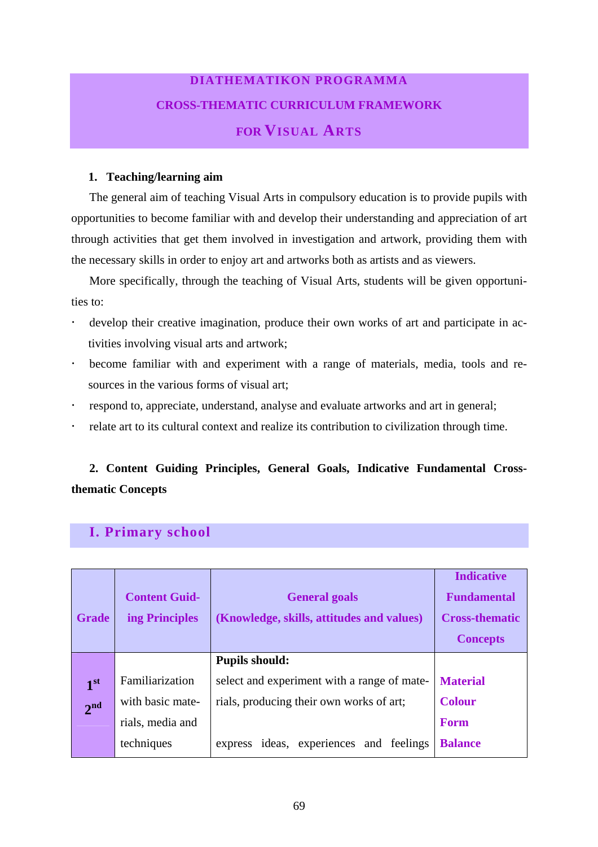# **DIATHEMATIKON PROGRAMMA CROSS-THEMATIC CURRICULUM FRAMEWORK FOR VISUAL ARTS**

#### **1. Teaching/learning aim**

The general aim of teaching Visual Arts in compulsory education is to provide pupils with opportunities to become familiar with and develop their understanding and appreciation of art through activities that get them involved in investigation and artwork, providing them with the necessary skills in order to enjoy art and artworks both as artists and as viewers.

More specifically, through the teaching of Visual Arts, students will be given opportunities to:

- ! develop their creative imagination, produce their own works of art and participate in activities involving visual arts and artwork;
- ! become familiar with and experiment with a range of materials, media, tools and resources in the various forms of visual art;
- ! respond to, appreciate, understand, analyse and evaluate artworks and art in general;
- ! relate art to its cultural context and realize its contribution to civilization through time.

### **2. Content Guiding Principles, General Goals, Indicative Fundamental Crossthematic Concepts**

### **I. Primary school**

| <b>Grade</b>    | <b>Content Guid-</b><br>ing Principles | <b>General goals</b><br>(Knowledge, skills, attitudes and values) | <b>Indicative</b><br><b>Fundamental</b><br><b>Cross-thematic</b><br><b>Concepts</b> |
|-----------------|----------------------------------------|-------------------------------------------------------------------|-------------------------------------------------------------------------------------|
|                 |                                        | <b>Pupils should:</b>                                             |                                                                                     |
| 1 <sup>st</sup> | Familiarization                        | select and experiment with a range of mate-                       | <b>Material</b>                                                                     |
| 2 <sup>nd</sup> | with basic mate-                       | rials, producing their own works of art;                          | <b>Colour</b>                                                                       |
|                 | rials, media and                       |                                                                   | <b>Form</b>                                                                         |
|                 | techniques                             | express ideas, experiences and feelings                           | <b>Balance</b>                                                                      |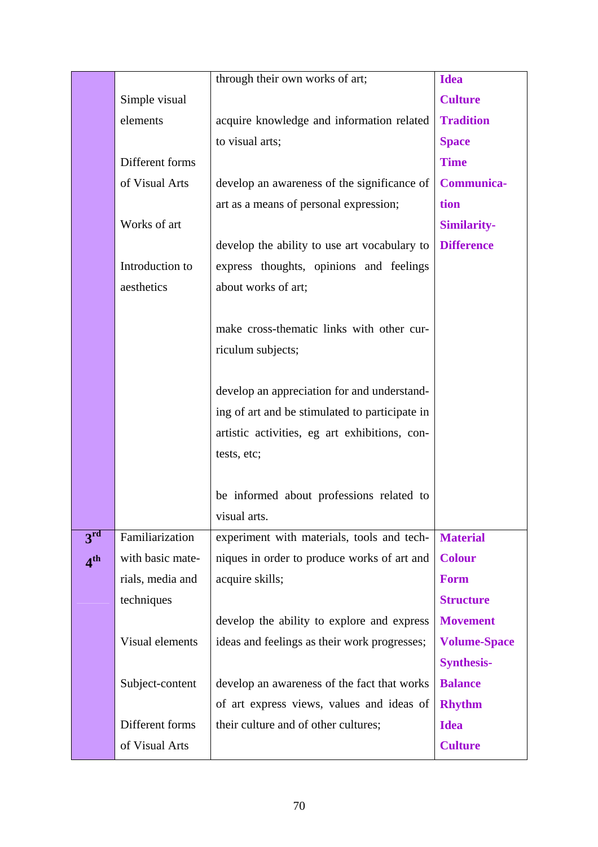|                            |                  | through their own works of art;                | <b>Idea</b>         |
|----------------------------|------------------|------------------------------------------------|---------------------|
|                            | Simple visual    |                                                | <b>Culture</b>      |
|                            | elements         | acquire knowledge and information related      | <b>Tradition</b>    |
|                            |                  | to visual arts;                                | <b>Space</b>        |
|                            | Different forms  |                                                | <b>Time</b>         |
|                            | of Visual Arts   | develop an awareness of the significance of    | <b>Communica-</b>   |
|                            |                  | art as a means of personal expression;         | tion                |
|                            | Works of art     |                                                | <b>Similarity-</b>  |
|                            |                  | develop the ability to use art vocabulary to   | <b>Difference</b>   |
|                            | Introduction to  | express thoughts, opinions and feelings        |                     |
|                            | aesthetics       | about works of art;                            |                     |
|                            |                  |                                                |                     |
|                            |                  | make cross-thematic links with other cur-      |                     |
|                            |                  | riculum subjects;                              |                     |
|                            |                  |                                                |                     |
|                            |                  | develop an appreciation for and understand-    |                     |
|                            |                  | ing of art and be stimulated to participate in |                     |
|                            |                  | artistic activities, eg art exhibitions, con-  |                     |
|                            |                  | tests, etc;                                    |                     |
|                            |                  |                                                |                     |
|                            |                  | be informed about professions related to       |                     |
|                            |                  | visual arts.                                   |                     |
| $3^{\overline{\text{rd}}}$ | Familiarization  | experiment with materials, tools and tech-     | <b>Material</b>     |
| 4 <sup>th</sup>            | with basic mate- | niques in order to produce works of art and    | <b>Colour</b>       |
|                            | rials, media and | acquire skills;                                | <b>Form</b>         |
|                            | techniques       |                                                | <b>Structure</b>    |
|                            |                  | develop the ability to explore and express     | <b>Movement</b>     |
|                            | Visual elements  | ideas and feelings as their work progresses;   | <b>Volume-Space</b> |
|                            |                  |                                                | <b>Synthesis-</b>   |
|                            | Subject-content  | develop an awareness of the fact that works    | <b>Balance</b>      |
|                            |                  | of art express views, values and ideas of      | <b>Rhythm</b>       |
|                            | Different forms  | their culture and of other cultures;           | <b>Idea</b>         |
|                            | of Visual Arts   |                                                | <b>Culture</b>      |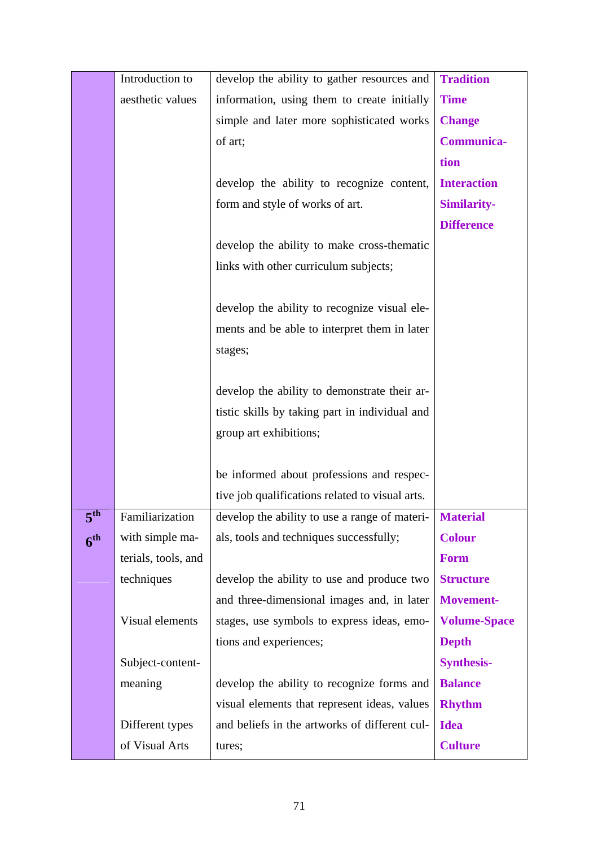|                      | Introduction to     | develop the ability to gather resources and     | <b>Tradition</b>    |
|----------------------|---------------------|-------------------------------------------------|---------------------|
|                      | aesthetic values    | information, using them to create initially     | <b>Time</b>         |
|                      |                     | simple and later more sophisticated works       | <b>Change</b>       |
|                      |                     | of art;                                         | <b>Communica-</b>   |
|                      |                     |                                                 | tion                |
|                      |                     | develop the ability to recognize content,       | <b>Interaction</b>  |
|                      |                     | form and style of works of art.                 | <b>Similarity-</b>  |
|                      |                     |                                                 | <b>Difference</b>   |
|                      |                     | develop the ability to make cross-thematic      |                     |
|                      |                     | links with other curriculum subjects;           |                     |
|                      |                     |                                                 |                     |
|                      |                     | develop the ability to recognize visual ele-    |                     |
|                      |                     | ments and be able to interpret them in later    |                     |
|                      |                     | stages;                                         |                     |
|                      |                     |                                                 |                     |
|                      |                     | develop the ability to demonstrate their ar-    |                     |
|                      |                     | tistic skills by taking part in individual and  |                     |
|                      |                     | group art exhibitions;                          |                     |
|                      |                     |                                                 |                     |
|                      |                     | be informed about professions and respec-       |                     |
|                      |                     | tive job qualifications related to visual arts. |                     |
| $\mathbf{r}$ th<br>⊃ | Familiarization     | develop the ability to use a range of materi-   | <b>Material</b>     |
| 6 <sup>th</sup>      | with simple ma-     | als, tools and techniques successfully;         | <b>Colour</b>       |
|                      | terials, tools, and |                                                 | <b>Form</b>         |
|                      | techniques          | develop the ability to use and produce two      | <b>Structure</b>    |
|                      |                     | and three-dimensional images and, in later      | Movement-           |
|                      | Visual elements     | stages, use symbols to express ideas, emo-      | <b>Volume-Space</b> |
|                      |                     | tions and experiences;                          | <b>Depth</b>        |
|                      | Subject-content-    |                                                 | <b>Synthesis-</b>   |
|                      | meaning             | develop the ability to recognize forms and      | <b>Balance</b>      |
|                      |                     | visual elements that represent ideas, values    | <b>Rhythm</b>       |
|                      | Different types     | and beliefs in the artworks of different cul-   | <b>Idea</b>         |
|                      | of Visual Arts      | tures;                                          | <b>Culture</b>      |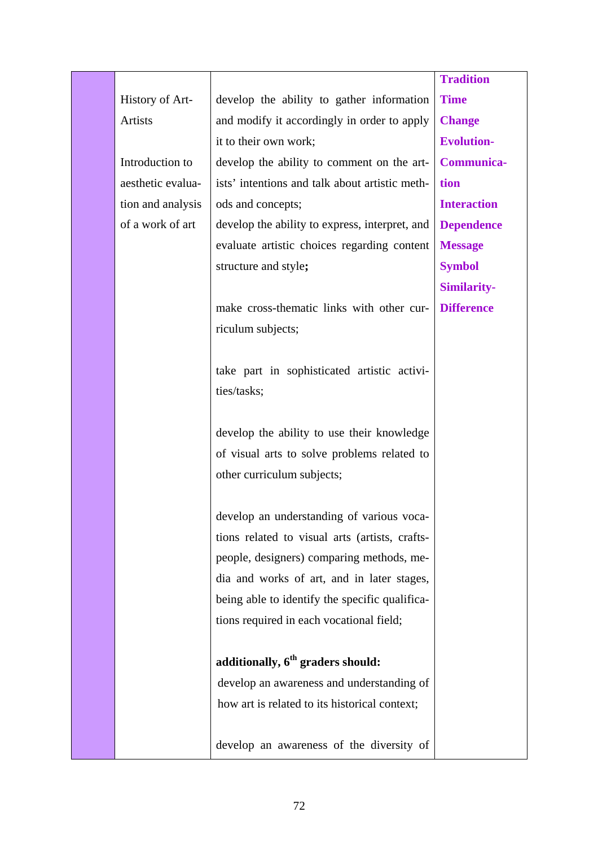|                   |                                                | <b>Tradition</b>   |
|-------------------|------------------------------------------------|--------------------|
| History of Art-   | develop the ability to gather information      | <b>Time</b>        |
| Artists           | and modify it accordingly in order to apply    | <b>Change</b>      |
|                   | it to their own work;                          | <b>Evolution-</b>  |
| Introduction to   | develop the ability to comment on the art-     | <b>Communica-</b>  |
| aesthetic evalua- | ists' intentions and talk about artistic meth- | tion               |
| tion and analysis | ods and concepts;                              | <b>Interaction</b> |
| of a work of art  | develop the ability to express, interpret, and | <b>Dependence</b>  |
|                   | evaluate artistic choices regarding content    | <b>Message</b>     |
|                   | structure and style;                           | <b>Symbol</b>      |
|                   |                                                | <b>Similarity-</b> |
|                   | make cross-thematic links with other cur-      | <b>Difference</b>  |
|                   | riculum subjects;                              |                    |
|                   |                                                |                    |
|                   | take part in sophisticated artistic activi-    |                    |
|                   | ties/tasks;                                    |                    |
|                   |                                                |                    |
|                   | develop the ability to use their knowledge     |                    |
|                   | of visual arts to solve problems related to    |                    |
|                   | other curriculum subjects;                     |                    |
|                   |                                                |                    |
|                   | develop an understanding of various voca-      |                    |
|                   | tions related to visual arts (artists, crafts- |                    |
|                   | people, designers) comparing methods, me-      |                    |
|                   | dia and works of art, and in later stages,     |                    |
|                   | being able to identify the specific qualifica- |                    |
|                   | tions required in each vocational field;       |                    |
|                   |                                                |                    |
|                   | additionally, 6 <sup>th</sup> graders should:  |                    |
|                   | develop an awareness and understanding of      |                    |
|                   | how art is related to its historical context;  |                    |
|                   |                                                |                    |
|                   | develop an awareness of the diversity of       |                    |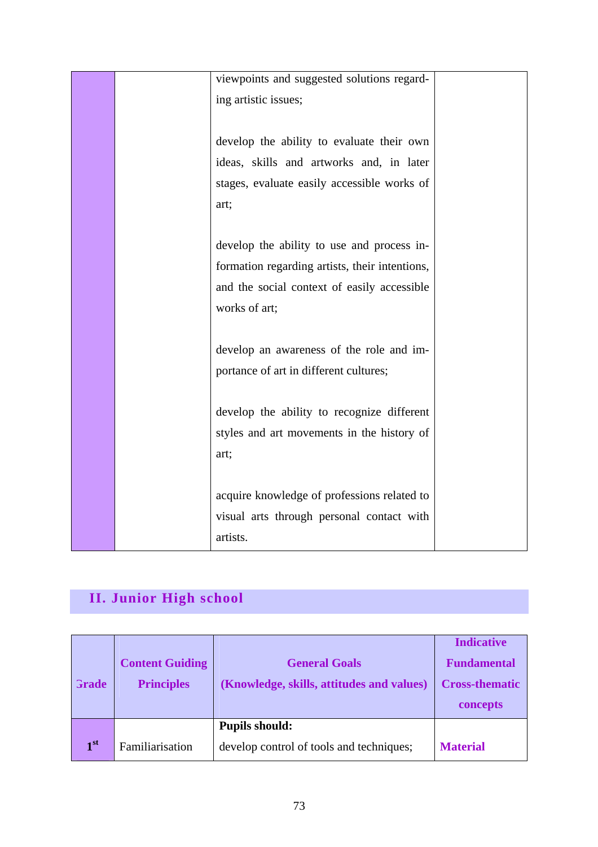|  | viewpoints and suggested solutions regard-     |  |
|--|------------------------------------------------|--|
|  | ing artistic issues;                           |  |
|  |                                                |  |
|  | develop the ability to evaluate their own      |  |
|  | ideas, skills and artworks and, in later       |  |
|  | stages, evaluate easily accessible works of    |  |
|  | art;                                           |  |
|  |                                                |  |
|  | develop the ability to use and process in-     |  |
|  | formation regarding artists, their intentions, |  |
|  | and the social context of easily accessible    |  |
|  | works of art;                                  |  |
|  |                                                |  |
|  | develop an awareness of the role and im-       |  |
|  | portance of art in different cultures;         |  |
|  |                                                |  |
|  | develop the ability to recognize different     |  |
|  | styles and art movements in the history of     |  |
|  | art;                                           |  |
|  |                                                |  |
|  | acquire knowledge of professions related to    |  |
|  | visual arts through personal contact with      |  |
|  | artists.                                       |  |

# **II. Junior High school**

| Grade           | <b>Content Guiding</b><br><b>Principles</b> | <b>General Goals</b><br>(Knowledge, skills, attitudes and values) | <b>Indicative</b><br><b>Fundamental</b><br><b>Cross-thematic</b><br>concepts |
|-----------------|---------------------------------------------|-------------------------------------------------------------------|------------------------------------------------------------------------------|
| 1 <sup>st</sup> | Familiarisation                             | <b>Pupils should:</b><br>develop control of tools and techniques; | <b>Material</b>                                                              |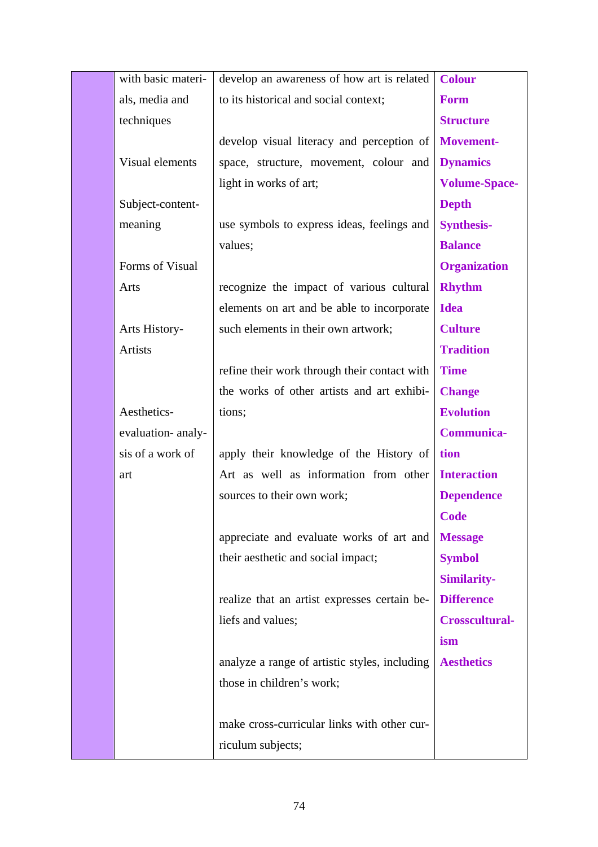| with basic materi- | develop an awareness of how art is related    | <b>Colour</b>         |
|--------------------|-----------------------------------------------|-----------------------|
| als, media and     | to its historical and social context;         | <b>Form</b>           |
| techniques         |                                               | <b>Structure</b>      |
|                    | develop visual literacy and perception of     | Movement-             |
| Visual elements    | space, structure, movement, colour and        | <b>Dynamics</b>       |
|                    | light in works of art;                        | <b>Volume-Space-</b>  |
| Subject-content-   |                                               | <b>Depth</b>          |
| meaning            | use symbols to express ideas, feelings and    | <b>Synthesis-</b>     |
|                    | values;                                       | <b>Balance</b>        |
| Forms of Visual    |                                               | <b>Organization</b>   |
| Arts               | recognize the impact of various cultural      | <b>Rhythm</b>         |
|                    | elements on art and be able to incorporate    | <b>Idea</b>           |
| Arts History-      | such elements in their own artwork;           | <b>Culture</b>        |
| Artists            |                                               | <b>Tradition</b>      |
|                    | refine their work through their contact with  | <b>Time</b>           |
|                    | the works of other artists and art exhibi-    | <b>Change</b>         |
| Aesthetics-        | tions;                                        | <b>Evolution</b>      |
| evaluation- analy- |                                               | <b>Communica-</b>     |
| sis of a work of   | apply their knowledge of the History of       | tion                  |
| art                | Art as well as information from other         | <b>Interaction</b>    |
|                    | sources to their own work;                    | <b>Dependence</b>     |
|                    |                                               | <b>Code</b>           |
|                    | appreciate and evaluate works of art and      | <b>Message</b>        |
|                    | their aesthetic and social impact;            | <b>Symbol</b>         |
|                    |                                               | <b>Similarity-</b>    |
|                    | realize that an artist expresses certain be-  | <b>Difference</b>     |
|                    | liefs and values;                             | <b>Crosscultural-</b> |
|                    |                                               | ism                   |
|                    | analyze a range of artistic styles, including | <b>Aesthetics</b>     |
|                    | those in children's work;                     |                       |
|                    |                                               |                       |
|                    |                                               |                       |
|                    | make cross-curricular links with other cur-   |                       |
|                    |                                               |                       |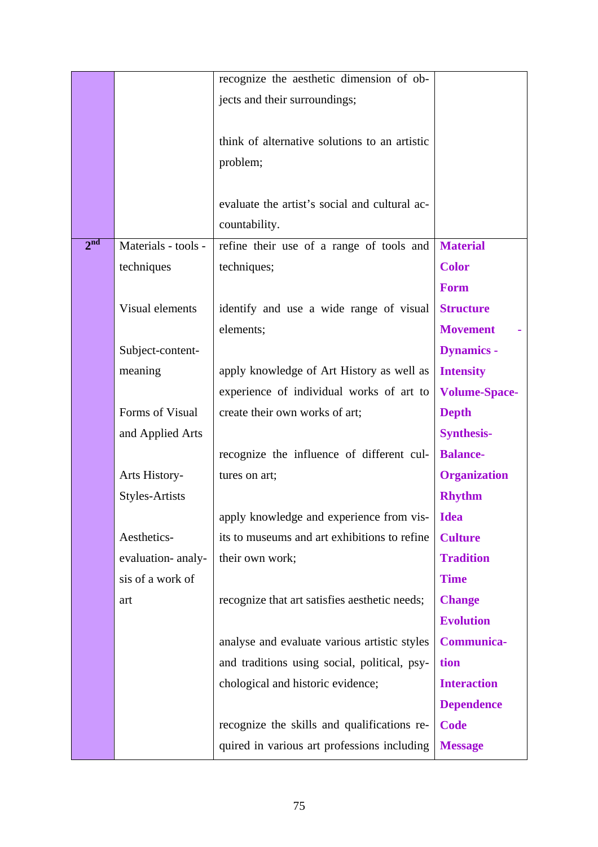|                 |                       | recognize the aesthetic dimension of ob-      |                      |
|-----------------|-----------------------|-----------------------------------------------|----------------------|
|                 |                       | jects and their surroundings;                 |                      |
|                 |                       |                                               |                      |
|                 |                       | think of alternative solutions to an artistic |                      |
|                 |                       | problem;                                      |                      |
|                 |                       |                                               |                      |
|                 |                       | evaluate the artist's social and cultural ac- |                      |
|                 |                       | countability.                                 |                      |
| 2 <sup>nd</sup> | Materials - tools -   | refine their use of a range of tools and      | <b>Material</b>      |
|                 | techniques            | techniques;                                   | <b>Color</b>         |
|                 |                       |                                               | <b>Form</b>          |
|                 | Visual elements       | identify and use a wide range of visual       | <b>Structure</b>     |
|                 |                       | elements;                                     | <b>Movement</b>      |
|                 | Subject-content-      |                                               | <b>Dynamics -</b>    |
|                 | meaning               | apply knowledge of Art History as well as     | <b>Intensity</b>     |
|                 |                       | experience of individual works of art to      | <b>Volume-Space-</b> |
|                 | Forms of Visual       | create their own works of art;                | <b>Depth</b>         |
|                 | and Applied Arts      |                                               | <b>Synthesis-</b>    |
|                 |                       | recognize the influence of different cul-     | <b>Balance-</b>      |
|                 | Arts History-         | tures on art;                                 | <b>Organization</b>  |
|                 | <b>Styles-Artists</b> |                                               | <b>Rhythm</b>        |
|                 |                       | apply knowledge and experience from vis-      | <b>Idea</b>          |
|                 | Aesthetics-           | its to museums and art exhibitions to refine  | <b>Culture</b>       |
|                 | evaluation- analy-    | their own work;                               | <b>Tradition</b>     |
|                 | sis of a work of      |                                               | <b>Time</b>          |
|                 | art                   | recognize that art satisfies aesthetic needs; | <b>Change</b>        |
|                 |                       |                                               | <b>Evolution</b>     |
|                 |                       | analyse and evaluate various artistic styles  | <b>Communica-</b>    |
|                 |                       | and traditions using social, political, psy-  | tion                 |
|                 |                       | chological and historic evidence;             | <b>Interaction</b>   |
|                 |                       |                                               | <b>Dependence</b>    |
|                 |                       | recognize the skills and qualifications re-   | <b>Code</b>          |
|                 |                       | quired in various art professions including   | <b>Message</b>       |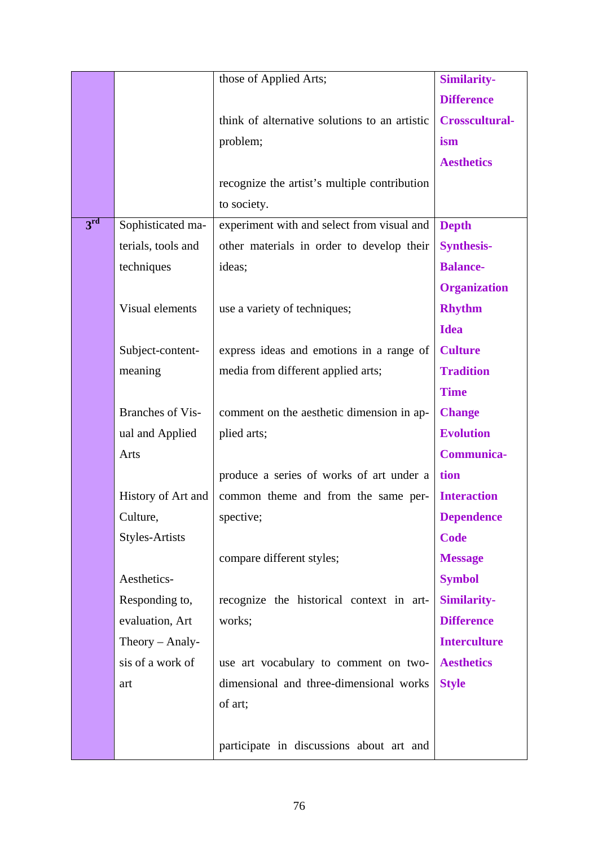|                 |                         | those of Applied Arts;                        | <b>Similarity-</b>    |
|-----------------|-------------------------|-----------------------------------------------|-----------------------|
|                 |                         |                                               | <b>Difference</b>     |
|                 |                         | think of alternative solutions to an artistic | <b>Crosscultural-</b> |
|                 |                         | problem;                                      | ism                   |
|                 |                         |                                               | <b>Aesthetics</b>     |
|                 |                         | recognize the artist's multiple contribution  |                       |
|                 |                         | to society.                                   |                       |
| 3 <sup>rd</sup> | Sophisticated ma-       | experiment with and select from visual and    | <b>Depth</b>          |
|                 | terials, tools and      | other materials in order to develop their     | <b>Synthesis-</b>     |
|                 | techniques              | ideas;                                        | <b>Balance-</b>       |
|                 |                         |                                               | <b>Organization</b>   |
|                 | Visual elements         | use a variety of techniques;                  | <b>Rhythm</b>         |
|                 |                         |                                               | <b>Idea</b>           |
|                 | Subject-content-        | express ideas and emotions in a range of      | <b>Culture</b>        |
|                 | meaning                 | media from different applied arts;            | <b>Tradition</b>      |
|                 |                         |                                               | <b>Time</b>           |
|                 | <b>Branches of Vis-</b> | comment on the aesthetic dimension in ap-     | <b>Change</b>         |
|                 | ual and Applied         | plied arts;                                   | <b>Evolution</b>      |
|                 | Arts                    |                                               | <b>Communica-</b>     |
|                 |                         | produce a series of works of art under a      | tion                  |
|                 | History of Art and      | common theme and from the same per-           | <b>Interaction</b>    |
|                 | Culture,                | spective;                                     | <b>Dependence</b>     |
|                 | <b>Styles-Artists</b>   |                                               | <b>Code</b>           |
|                 |                         | compare different styles;                     | <b>Message</b>        |
|                 | Aesthetics-             |                                               | <b>Symbol</b>         |
|                 | Responding to,          | recognize the historical context in art-      | <b>Similarity-</b>    |
|                 | evaluation, Art         | works;                                        | <b>Difference</b>     |
|                 | Theory $-$ Analy-       |                                               | <b>Interculture</b>   |
|                 | sis of a work of        | use art vocabulary to comment on two-         | <b>Aesthetics</b>     |
|                 | art                     | dimensional and three-dimensional works       | <b>Style</b>          |
|                 |                         | of art;                                       |                       |
|                 |                         |                                               |                       |
|                 |                         | participate in discussions about art and      |                       |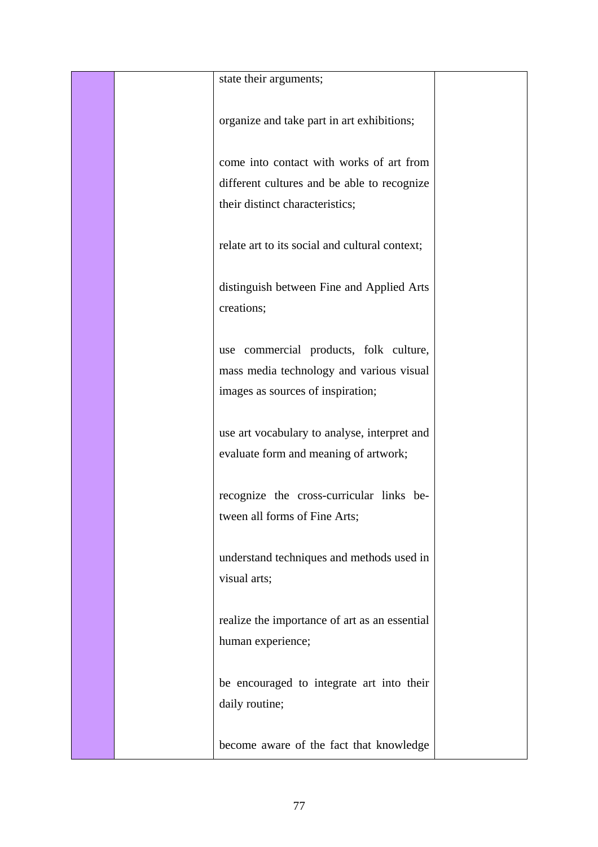|  | state their arguments;                                                                                                  |  |
|--|-------------------------------------------------------------------------------------------------------------------------|--|
|  | organize and take part in art exhibitions;                                                                              |  |
|  | come into contact with works of art from                                                                                |  |
|  | different cultures and be able to recognize<br>their distinct characteristics;                                          |  |
|  | relate art to its social and cultural context;                                                                          |  |
|  | distinguish between Fine and Applied Arts<br>creations;                                                                 |  |
|  | use commercial products, folk culture,<br>mass media technology and various visual<br>images as sources of inspiration; |  |
|  | use art vocabulary to analyse, interpret and<br>evaluate form and meaning of artwork;                                   |  |
|  | recognize the cross-curricular links be-<br>tween all forms of Fine Arts;                                               |  |
|  | understand techniques and methods used in<br>visual arts;                                                               |  |
|  | realize the importance of art as an essential<br>human experience;                                                      |  |
|  | be encouraged to integrate art into their<br>daily routine;                                                             |  |
|  | become aware of the fact that knowledge                                                                                 |  |